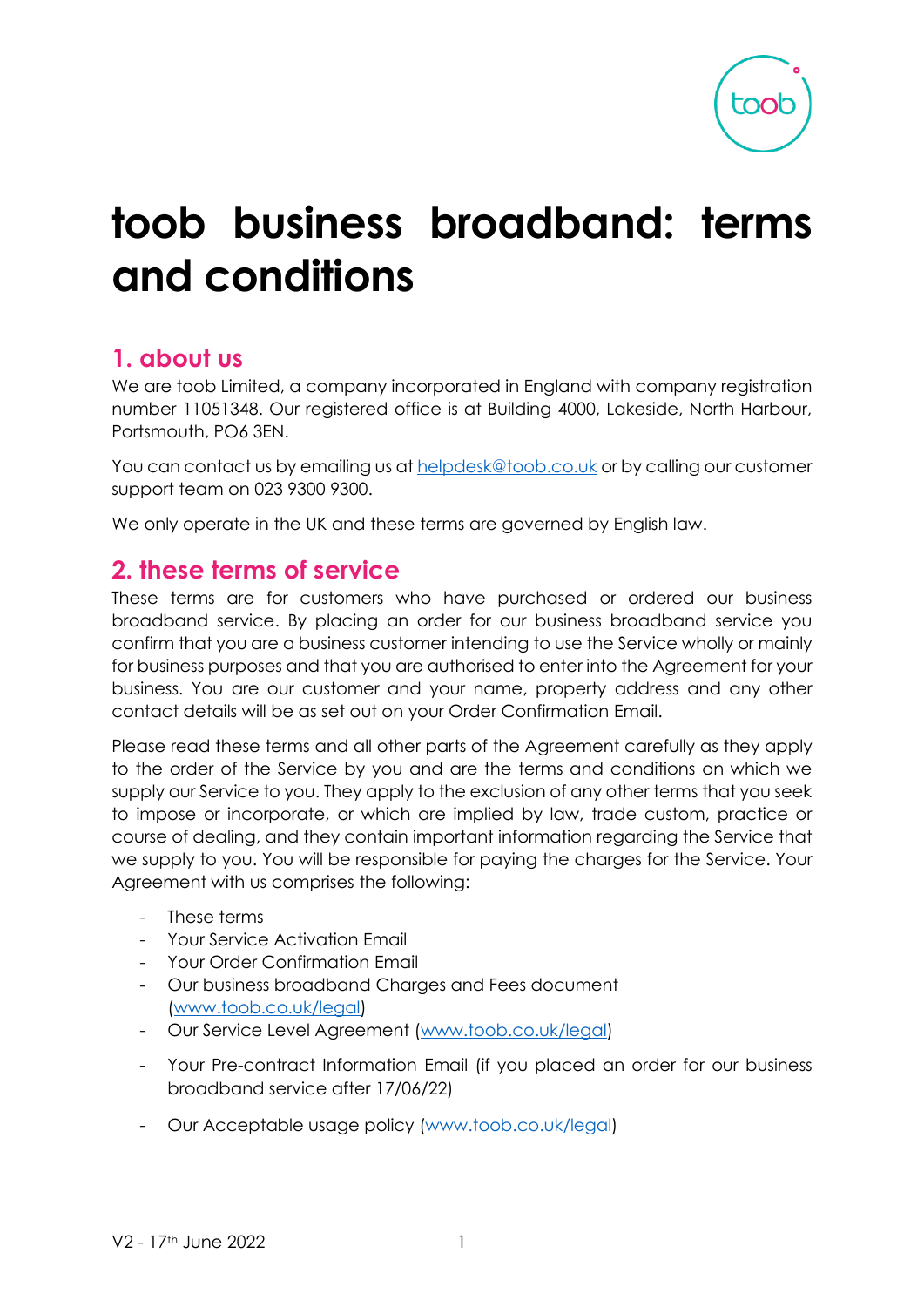# **toob business broadband: terms and conditions**

# **1. about us**

We are toob Limited, a company incorporated in England with company registration number 11051348. Our registered office is at Building 4000, Lakeside, North Harbour, Portsmouth, PO6 3EN.

You can contact us by emailing us at [helpdesk@toob.co.uk](mailto:helpdesk@toob.co.uk) or by calling our customer support team on 023 9300 9300.

We only operate in the UK and these terms are governed by English law.

# **2. these terms of service**

These terms are for customers who have purchased or ordered our business broadband service. By placing an order for our business broadband service you confirm that you are a business customer intending to use the Service wholly or mainly for business purposes and that you are authorised to enter into the Agreement for your business. You are our customer and your name, property address and any other contact details will be as set out on your Order Confirmation Email.

Please read these terms and all other parts of the Agreement carefully as they apply to the order of the Service by you and are the terms and conditions on which we supply our Service to you. They apply to the exclusion of any other terms that you seek to impose or incorporate, or which are implied by law, trade custom, practice or course of dealing, and they contain important information regarding the Service that we supply to you. You will be responsible for paying the charges for the Service. Your Agreement with us comprises the following:

- These terms
- Your Service Activation Email
- Your Order Confirmation Email
- Our business broadband Charges and Fees document [\(www.toob.co.uk/legal\)](http://www.toob.co.uk/legal)
- Our Service Level Agreement [\(www.toob.co.uk/legal\)](file:///C:/Users/ravi.mohindra/AppData/Local/Microsoft/Windows/INetCache/Content.Outlook/72J9R1AO/www.toob.co.uk/legal)
- Your Pre-contract Information Email (if you placed an order for our business broadband service after 17/06/22)
- Our Acceptable usage policy [\(](http://www.toob.co.uk/legal)[www.toob.co.uk/legal](file:///C:/Users/ravi.mohindra/AppData/Local/Microsoft/Windows/INetCache/Content.Outlook/72J9R1AO/www.toob.co.uk/legal)[\)](http://www.toob.co.uk/legal)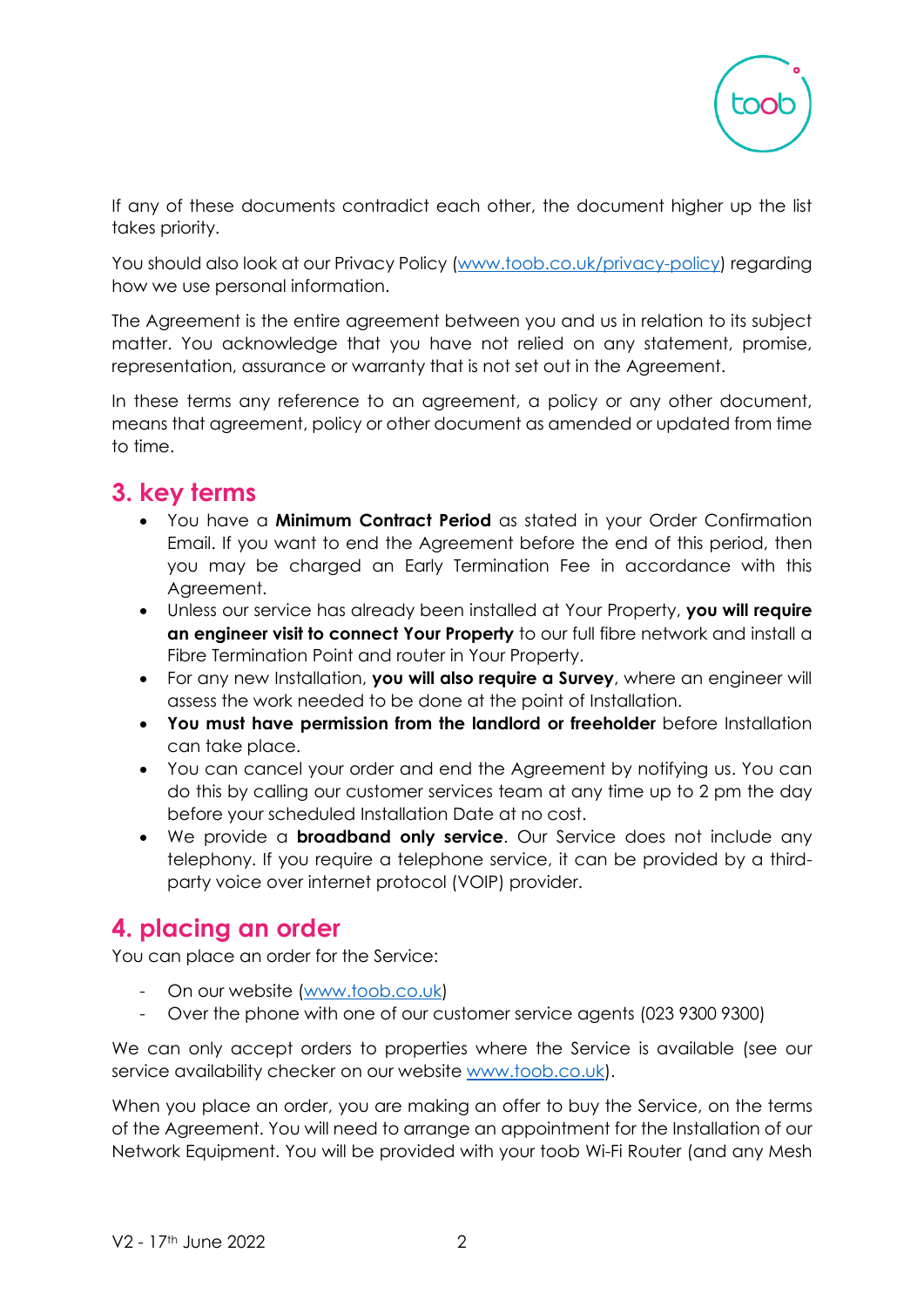

If any of these documents contradict each other, the document higher up the list takes priority.

You should also look at our Privacy Policy [\(www.toob.co.uk/privacy-policy\)](http://www.toob.co.uk/privacy-policy) regarding how we use personal information.

The Agreement is the entire agreement between you and us in relation to its subject matter. You acknowledge that you have not relied on any statement, promise, representation, assurance or warranty that is not set out in the Agreement.

In these terms any reference to an agreement, a policy or any other document, means that agreement, policy or other document as amended or updated from time to time.

# **3. key terms**

- You have a **Minimum Contract Period** as stated in your Order Confirmation Email. If you want to end the Agreement before the end of this period, then you may be charged an Early Termination Fee in accordance with this Agreement.
- Unless our service has already been installed at Your Property, **you will require an engineer visit to connect Your Property** to our full fibre network and install a Fibre Termination Point and router in Your Property.
- For any new Installation, **you will also require a Survey**, where an engineer will assess the work needed to be done at the point of Installation.
- **You must have permission from the landlord or freeholder** before Installation can take place.
- You can cancel your order and end the Agreement by notifying us. You can do this by calling our customer services team at any time up to 2 pm the day before your scheduled Installation Date at no cost.
- We provide a **broadband only service**. Our Service does not include any telephony. If you require a telephone service, it can be provided by a thirdparty voice over internet protocol (VOIP) provider.

# **4. placing an order**

You can place an order for the Service:

- On our website [\(www.toob.co.uk\)](http://www.toob.co.uk/)
- Over the phone with one of our customer service agents (023 9300 9300)

We can only accept orders to properties where the Service is available (see our service availability checker on our website [www.toob.co.uk\)](http://www.toob.co.uk/).

When you place an order, you are making an offer to buy the Service, on the terms of the Agreement. You will need to arrange an appointment for the Installation of our Network Equipment. You will be provided with your toob Wi-Fi Router (and any Mesh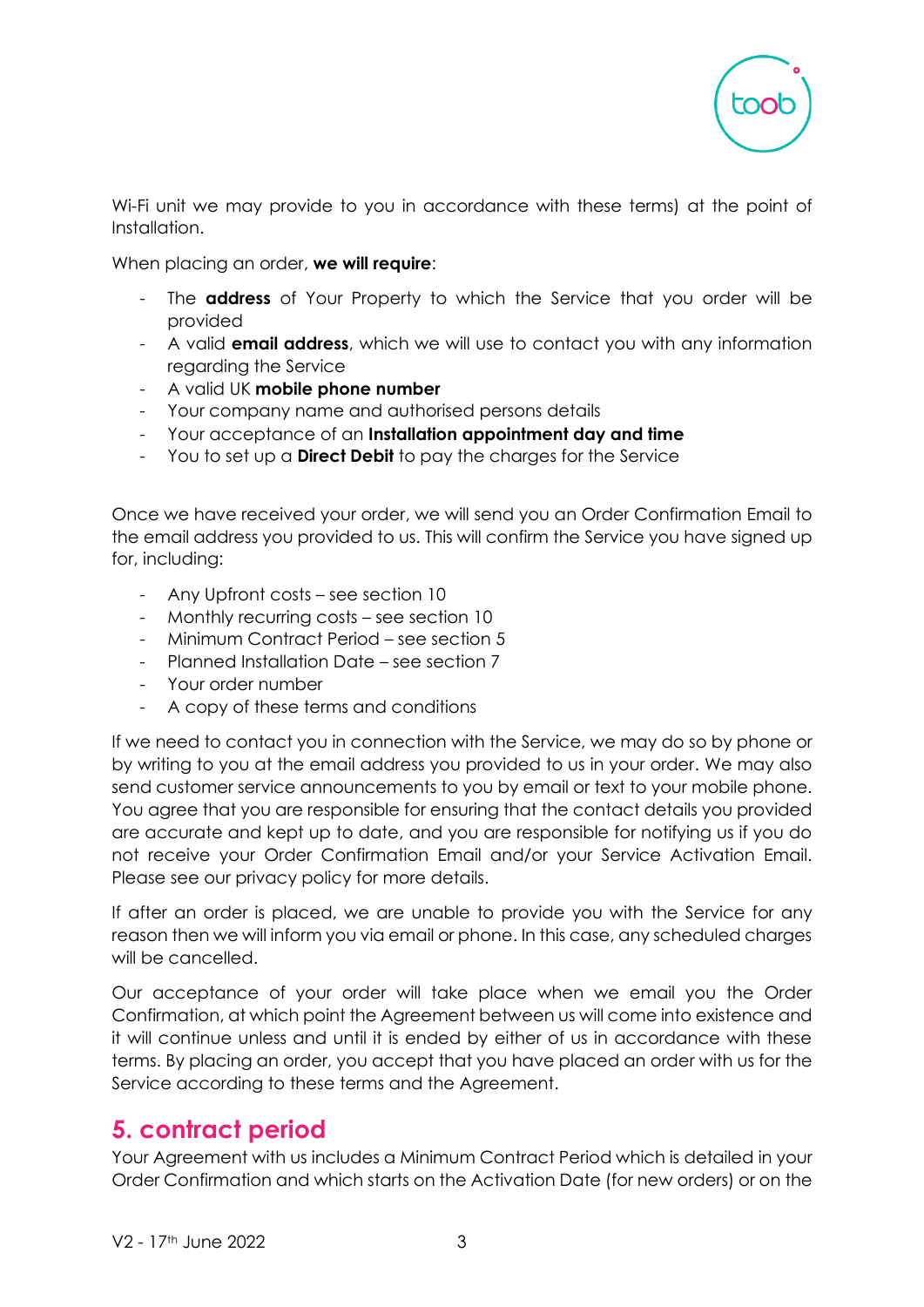

Wi-Fi unit we may provide to you in accordance with these terms) at the point of Installation.

When placing an order, **we will require**:

- The **address** of Your Property to which the Service that you order will be provided
- A valid **email address**, which we will use to contact you with any information regarding the Service
- A valid UK **mobile phone number**
- Your company name and authorised persons details
- Your acceptance of an **Installation appointment day and time**
- You to set up a **Direct Debit** to pay the charges for the Service

Once we have received your order, we will send you an Order Confirmation Email to the email address you provided to us. This will confirm the Service you have signed up for, including:

- Any Upfront costs see section 10
- Monthly recurring costs see section 10
- Minimum Contract Period see section 5
- Planned Installation Date see section 7
- Your order number
- A copy of these terms and conditions

If we need to contact you in connection with the Service, we may do so by phone or by writing to you at the email address you provided to us in your order. We may also send customer service announcements to you by email or text to your mobile phone. You agree that you are responsible for ensuring that the contact details you provided are accurate and kept up to date, and you are responsible for notifying us if you do not receive your Order Confirmation Email and/or your Service Activation Email. Please see our privacy policy for more details.

If after an order is placed, we are unable to provide you with the Service for any reason then we will inform you via email or phone. In this case, any scheduled charges will be cancelled.

Our acceptance of your order will take place when we email you the Order Confirmation, at which point the Agreement between us will come into existence and it will continue unless and until it is ended by either of us in accordance with these terms. By placing an order, you accept that you have placed an order with us for the Service according to these terms and the Agreement.

# **5. contract period**

Your Agreement with us includes a Minimum Contract Period which is detailed in your Order Confirmation and which starts on the Activation Date (for new orders) or on the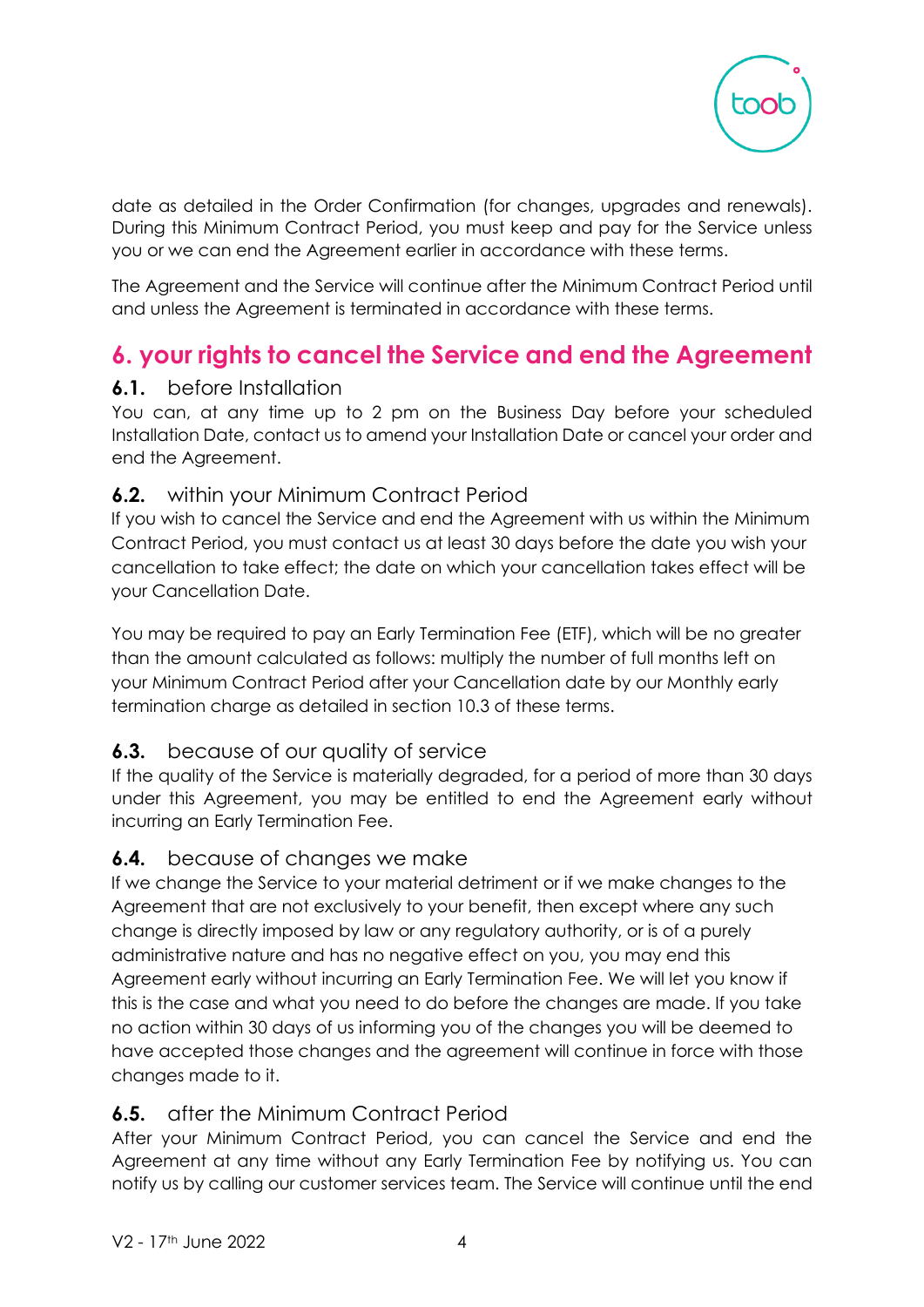

date as detailed in the Order Confirmation (for changes, upgrades and renewals). During this Minimum Contract Period, you must keep and pay for the Service unless you or we can end the Agreement earlier in accordance with these terms.

The Agreement and the Service will continue after the Minimum Contract Period until and unless the Agreement is terminated in accordance with these terms.

# **6. your rights to cancel the Service and end the Agreement**

### **6.1.** before Installation

You can, at any time up to 2 pm on the Business Day before your scheduled Installation Date, contact us to amend your Installation Date or cancel your order and end the Agreement.

### **6.2.** within your Minimum Contract Period

If you wish to cancel the Service and end the Agreement with us within the Minimum Contract Period, you must contact us at least 30 days before the date you wish your cancellation to take effect; the date on which your cancellation takes effect will be your Cancellation Date.

You may be required to pay an Early Termination Fee (ETF), which will be no greater than the amount calculated as follows: multiply the number of full months left on your Minimum Contract Period after your Cancellation date by our Monthly early termination charge as detailed in section 10.3 of these terms.

## **6.3.** because of our quality of service

If the quality of the Service is materially degraded, for a period of more than 30 days under this Agreement, you may be entitled to end the Agreement early without incurring an Early Termination Fee.

### **6.4.** because of changes we make

If we change the Service to your material detriment or if we make changes to the Agreement that are not exclusively to your benefit, then except where any such change is directly imposed by law or any regulatory authority, or is of a purely administrative nature and has no negative effect on you, you may end this Agreement early without incurring an Early Termination Fee. We will let you know if this is the case and what you need to do before the changes are made. If you take no action within 30 days of us informing you of the changes you will be deemed to have accepted those changes and the agreement will continue in force with those changes made to it.

### **6.5.** after the Minimum Contract Period

After your Minimum Contract Period, you can cancel the Service and end the Agreement at any time without any Early Termination Fee by notifying us. You can notify us by calling our customer services team. The Service will continue until the end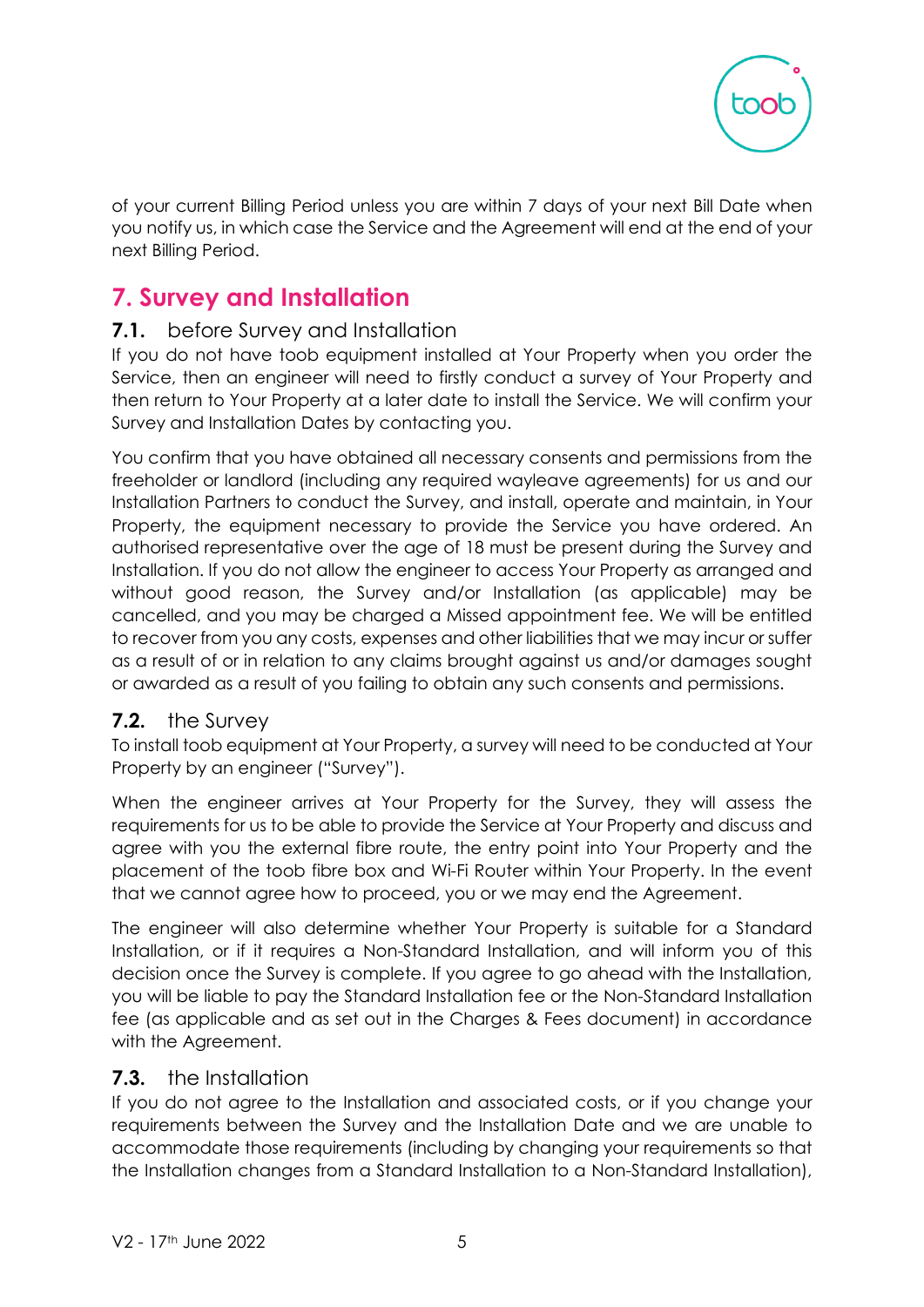

of your current Billing Period unless you are within 7 days of your next Bill Date when you notify us, in which case the Service and the Agreement will end at the end of your next Billing Period.

# **7. Survey and Installation**

### **7.1.** before Survey and Installation

If you do not have toob equipment installed at Your Property when you order the Service, then an engineer will need to firstly conduct a survey of Your Property and then return to Your Property at a later date to install the Service. We will confirm your Survey and Installation Dates by contacting you.

You confirm that you have obtained all necessary consents and permissions from the freeholder or landlord (including any required wayleave agreements) for us and our Installation Partners to conduct the Survey, and install, operate and maintain, in Your Property, the equipment necessary to provide the Service you have ordered. An authorised representative over the age of 18 must be present during the Survey and Installation. If you do not allow the engineer to access Your Property as arranged and without good reason, the Survey and/or Installation (as applicable) may be cancelled, and you may be charged a Missed appointment fee. We will be entitled to recover from you any costs, expenses and other liabilities that we may incur or suffer as a result of or in relation to any claims brought against us and/or damages sought or awarded as a result of you failing to obtain any such consents and permissions.

### **7.2.** the Survey

To install toob equipment at Your Property, a survey will need to be conducted at Your Property by an engineer ("Survey").

When the engineer arrives at Your Property for the Survey, they will assess the requirements for us to be able to provide the Service at Your Property and discuss and agree with you the external fibre route, the entry point into Your Property and the placement of the toob fibre box and Wi-Fi Router within Your Property. In the event that we cannot agree how to proceed, you or we may end the Agreement.

The engineer will also determine whether Your Property is suitable for a Standard Installation, or if it requires a Non-Standard Installation, and will inform you of this decision once the Survey is complete. If you agree to go ahead with the Installation, you will be liable to pay the Standard Installation fee or the Non-Standard Installation fee (as applicable and as set out in the Charges & Fees document) in accordance with the Agreement.

### **7.3.** the Installation

If you do not agree to the Installation and associated costs, or if you change your requirements between the Survey and the Installation Date and we are unable to accommodate those requirements (including by changing your requirements so that the Installation changes from a Standard Installation to a Non-Standard Installation),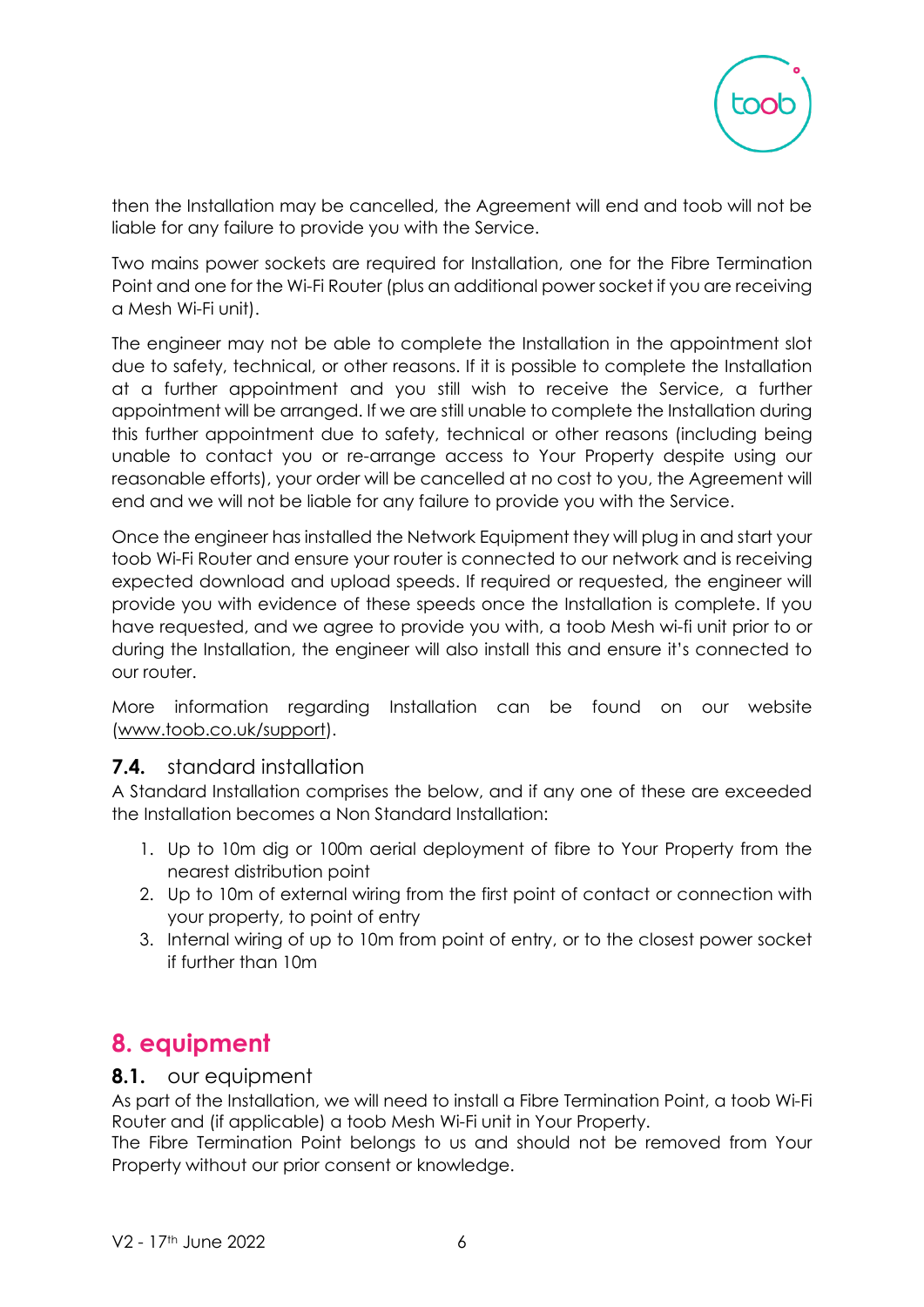

then the Installation may be cancelled, the Agreement will end and toob will not be liable for any failure to provide you with the Service.

Two mains power sockets are required for Installation, one for the Fibre Termination Point and one for the Wi-Fi Router (plus an additional power socket if you are receiving a Mesh Wi-Fi unit).

The engineer may not be able to complete the Installation in the appointment slot due to safety, technical, or other reasons. If it is possible to complete the Installation at a further appointment and you still wish to receive the Service, a further appointment will be arranged. If we are still unable to complete the Installation during this further appointment due to safety, technical or other reasons (including being unable to contact you or re-arrange access to Your Property despite using our reasonable efforts), your order will be cancelled at no cost to you, the Agreement will end and we will not be liable for any failure to provide you with the Service.

Once the engineer has installed the Network Equipment they will plug in and start your toob Wi-Fi Router and ensure your router is connected to our network and is receiving expected download and upload speeds. If required or requested, the engineer will provide you with evidence of these speeds once the Installation is complete. If you have requested, and we agree to provide you with, a toob Mesh wi-fi unit prior to or during the Installation, the engineer will also install this and ensure it's connected to our router.

More information regarding Installation can be found on our website [\(www.toob.co.uk/](http://www.toob.co.uk/)support).

#### **7.4.** standard installation

A Standard Installation comprises the below, and if any one of these are exceeded the Installation becomes a Non Standard Installation:

- 1. Up to 10m dig or 100m aerial deployment of fibre to Your Property from the nearest distribution point
- 2. Up to 10m of external wiring from the first point of contact or connection with your property, to point of entry
- 3. Internal wiring of up to 10m from point of entry, or to the closest power socket if further than 10m

# **8. equipment**

#### **8.1.** our equipment

As part of the Installation, we will need to install a Fibre Termination Point, a toob Wi-Fi Router and (if applicable) a toob Mesh Wi-Fi unit in Your Property.

The Fibre Termination Point belongs to us and should not be removed from Your Property without our prior consent or knowledge.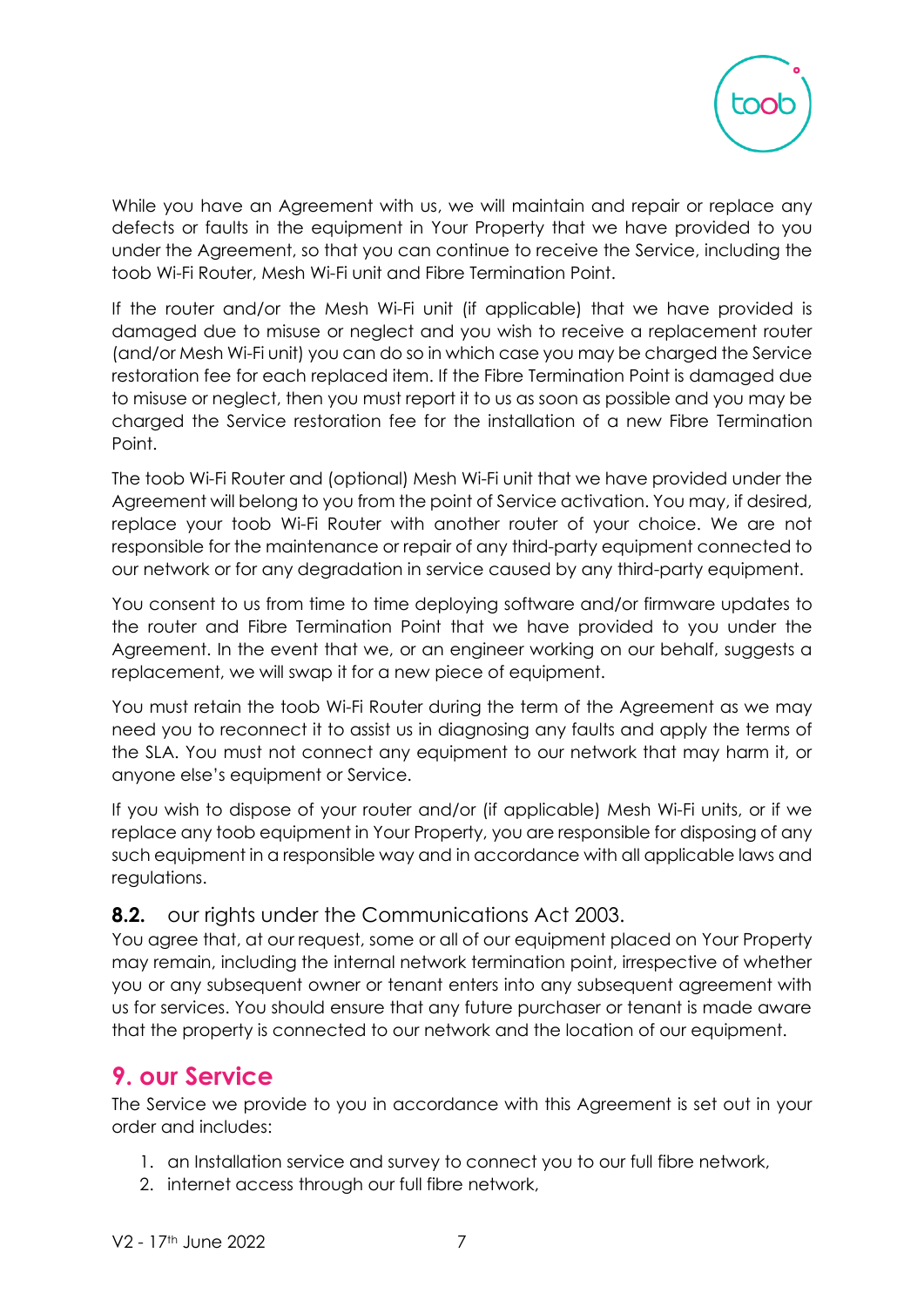

While you have an Agreement with us, we will maintain and repair or replace any defects or faults in the equipment in Your Property that we have provided to you under the Agreement, so that you can continue to receive the Service, including the toob Wi-Fi Router, Mesh Wi-Fi unit and Fibre Termination Point.

If the router and/or the Mesh Wi-Fi unit (if applicable) that we have provided is damaged due to misuse or neglect and you wish to receive a replacement router (and/or Mesh Wi-Fi unit) you can do so in which case you may be charged the Service restoration fee for each replaced item. If the Fibre Termination Point is damaged due to misuse or neglect, then you must report it to us as soon as possible and you may be charged the Service restoration fee for the installation of a new Fibre Termination Point.

The toob Wi-Fi Router and (optional) Mesh Wi-Fi unit that we have provided under the Agreement will belong to you from the point of Service activation. You may, if desired, replace your toob Wi-Fi Router with another router of your choice. We are not responsible for the maintenance or repair of any third-party equipment connected to our network or for any degradation in service caused by any third-party equipment.

You consent to us from time to time deploying software and/or firmware updates to the router and Fibre Termination Point that we have provided to you under the Agreement. In the event that we, or an engineer working on our behalf, suggests a replacement, we will swap it for a new piece of equipment.

You must retain the toob Wi-Fi Router during the term of the Agreement as we may need you to reconnect it to assist us in diagnosing any faults and apply the terms of the SLA. You must not connect any equipment to our network that may harm it, or anyone else's equipment or Service.

If you wish to dispose of your router and/or (if applicable) Mesh Wi-Fi units, or if we replace any toob equipment in Your Property, you are responsible for disposing of any such equipment in a responsible way and in accordance with all applicable laws and regulations.

### **8.2.** our rights under the Communications Act 2003.

You agree that, at our request, some or all of our equipment placed on Your Property may remain, including the internal network termination point, irrespective of whether you or any subsequent owner or tenant enters into any subsequent agreement with us for services. You should ensure that any future purchaser or tenant is made aware that the property is connected to our network and the location of our equipment.

# **9. our Service**

The Service we provide to you in accordance with this Agreement is set out in your order and includes:

- 1. an Installation service and survey to connect you to our full fibre network,
- 2. internet access through our full fibre network,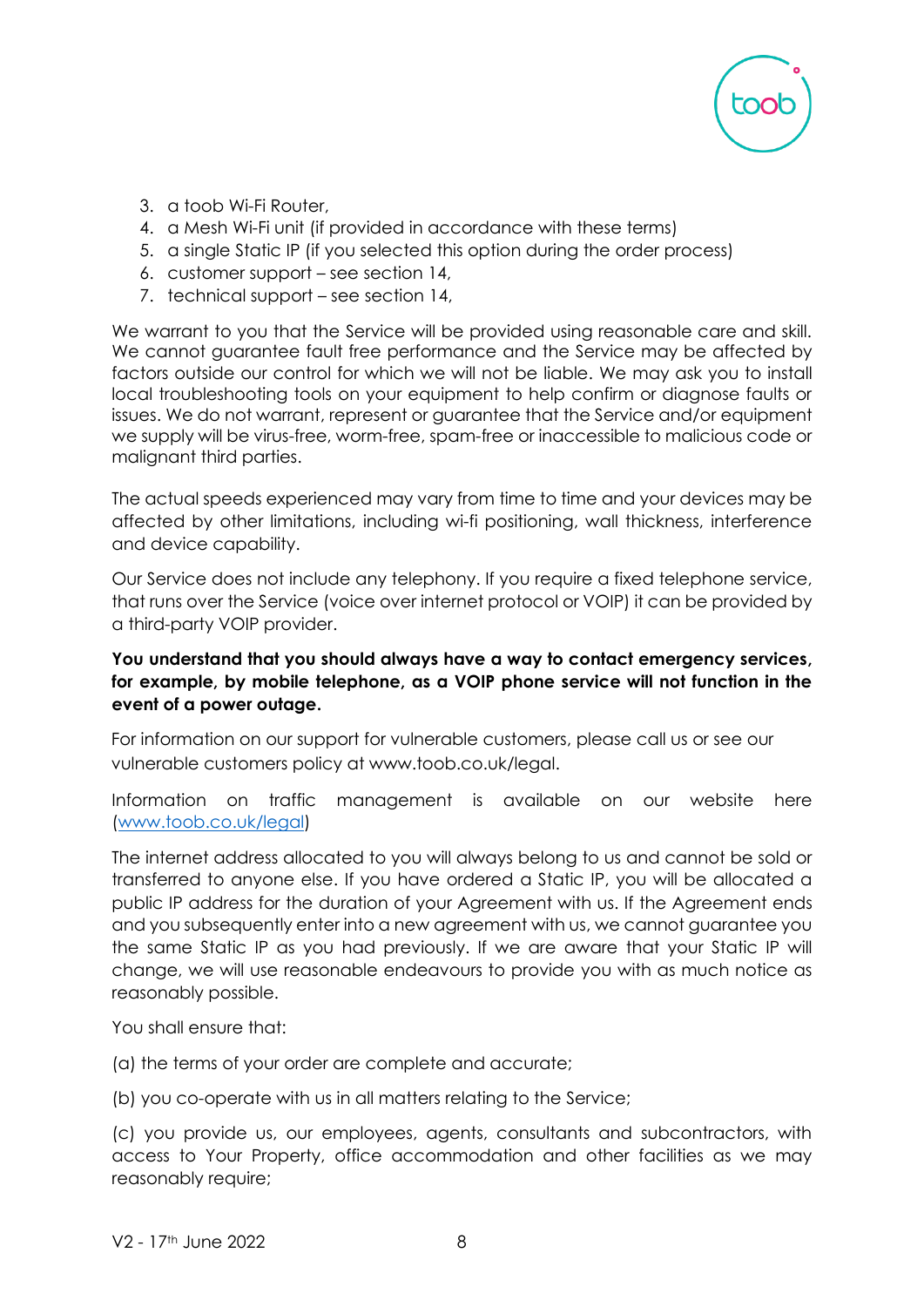

- 3. a toob Wi-Fi Router,
- 4. a Mesh Wi-Fi unit (if provided in accordance with these terms)
- 5. a single Static IP (if you selected this option during the order process)
- 6. customer support see section 14,
- 7. technical support see section 14,

We warrant to you that the Service will be provided using reasonable care and skill. We cannot guarantee fault free performance and the Service may be affected by factors outside our control for which we will not be liable. We may ask you to install local troubleshooting tools on your equipment to help confirm or diagnose faults or issues. We do not warrant, represent or guarantee that the Service and/or equipment we supply will be virus-free, worm-free, spam-free or inaccessible to malicious code or malignant third parties.

The actual speeds experienced may vary from time to time and your devices may be affected by other limitations, including wi-fi positioning, wall thickness, interference and device capability.

Our Service does not include any telephony. If you require a fixed telephone service, that runs over the Service (voice over internet protocol or VOIP) it can be provided by a third-party VOIP provider.

#### **You understand that you should always have a way to contact emergency services, for example, by mobile telephone, as a VOIP phone service will not function in the event of a power outage.**

For information on our support for vulnerable customers, please call us or see our vulnerable customers policy at www.toob.co.uk/legal.

Information on traffic management is available on our website here [\(www.toob.co.uk/legal\)](http://www.toob.co.uk/legal)

The internet address allocated to you will always belong to us and cannot be sold or transferred to anyone else. If you have ordered a Static IP, you will be allocated a public IP address for the duration of your Agreement with us. If the Agreement ends and you subsequently enter into a new agreement with us, we cannot guarantee you the same Static IP as you had previously. If we are aware that your Static IP will change, we will use reasonable endeavours to provide you with as much notice as reasonably possible.

You shall ensure that:

(a) the terms of your order are complete and accurate;

(b) you co-operate with us in all matters relating to the Service;

(c) you provide us, our employees, agents, consultants and subcontractors, with access to Your Property, office accommodation and other facilities as we may reasonably require;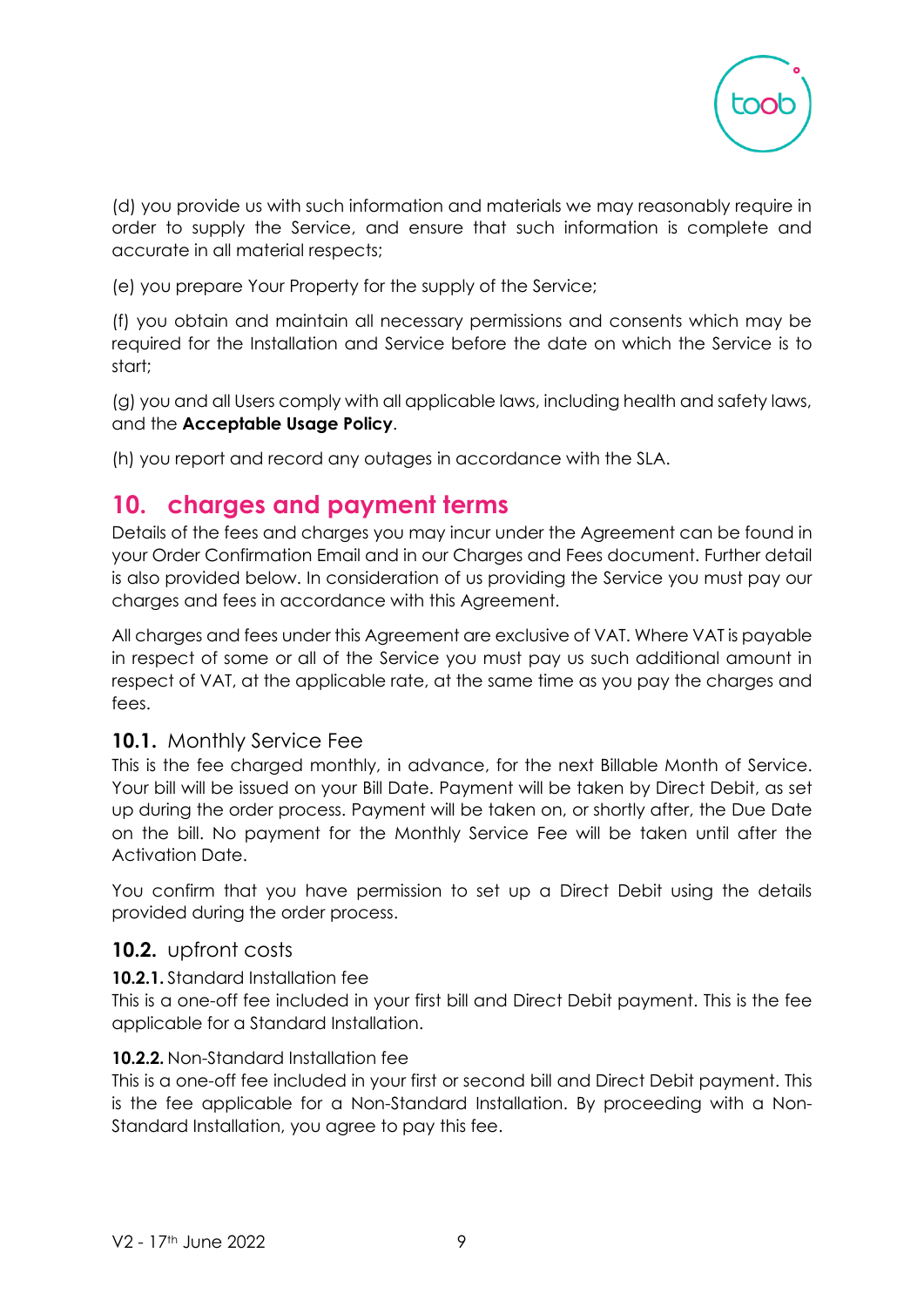

(d) you provide us with such information and materials we may reasonably require in order to supply the Service, and ensure that such information is complete and accurate in all material respects;

(e) you prepare Your Property for the supply of the Service;

(f) you obtain and maintain all necessary permissions and consents which may be required for the Installation and Service before the date on which the Service is to start;

(g) you and all Users comply with all applicable laws, including health and safety laws, and the **Acceptable Usage Policy**.

(h) you report and record any outages in accordance with the SLA.

# **10. charges and payment terms**

Details of the fees and charges you may incur under the Agreement can be found in your Order Confirmation Email and in our Charges and Fees document. Further detail is also provided below. In consideration of us providing the Service you must pay our charges and fees in accordance with this Agreement.

All charges and fees under this Agreement are exclusive of VAT. Where VAT is payable in respect of some or all of the Service you must pay us such additional amount in respect of VAT, at the applicable rate, at the same time as you pay the charges and fees.

### **10.1.** Monthly Service Fee

This is the fee charged monthly, in advance, for the next Billable Month of Service. Your bill will be issued on your Bill Date. Payment will be taken by Direct Debit, as set up during the order process. Payment will be taken on, or shortly after, the Due Date on the bill. No payment for the Monthly Service Fee will be taken until after the Activation Date.

You confirm that you have permission to set up a Direct Debit using the details provided during the order process.

### **10.2.** upfront costs

#### **10.2.1.** Standard Installation fee

This is a one-off fee included in your first bill and Direct Debit payment. This is the fee applicable for a Standard Installation.

#### **10.2.2.** Non-Standard Installation fee

This is a one-off fee included in your first or second bill and Direct Debit payment. This is the fee applicable for a Non-Standard Installation. By proceeding with a Non-Standard Installation, you agree to pay this fee.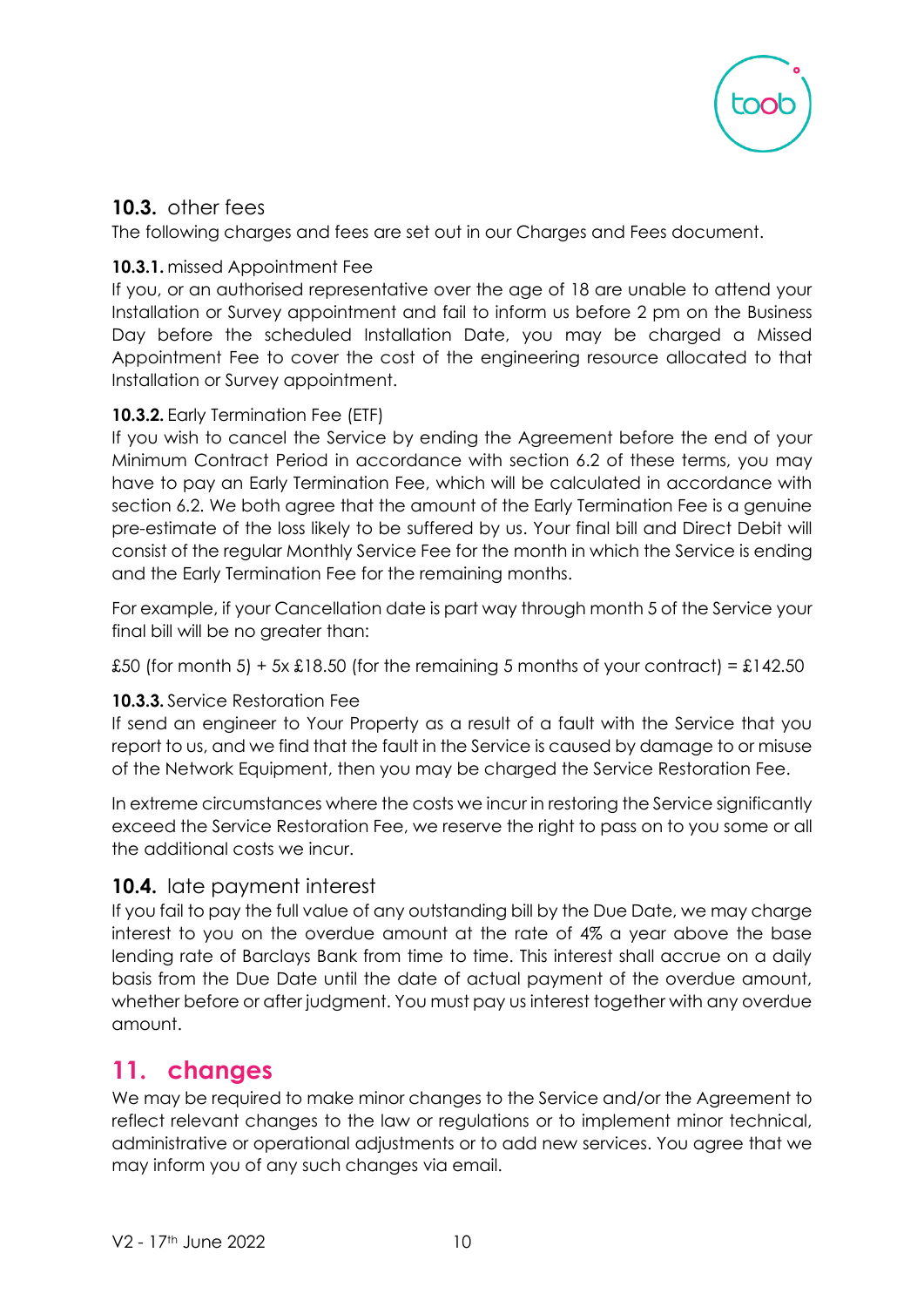

## **10.3.** other fees

The following charges and fees are set out in our Charges and Fees document.

#### **10.3.1.** missed Appointment Fee

If you, or an authorised representative over the age of 18 are unable to attend your Installation or Survey appointment and fail to inform us before 2 pm on the Business Day before the scheduled Installation Date, you may be charged a Missed Appointment Fee to cover the cost of the engineering resource allocated to that Installation or Survey appointment.

#### **10.3.2.** Early Termination Fee (ETF)

If you wish to cancel the Service by ending the Agreement before the end of your Minimum Contract Period in accordance with section 6.2 of these terms, you may have to pay an Early Termination Fee, which will be calculated in accordance with section 6.2. We both agree that the amount of the Early Termination Fee is a genuine pre-estimate of the loss likely to be suffered by us. Your final bill and Direct Debit will consist of the regular Monthly Service Fee for the month in which the Service is ending and the Early Termination Fee for the remaining months.

For example, if your Cancellation date is part way through month 5 of the Service your final bill will be no greater than:

£50 (for month 5) + 5x £18.50 (for the remaining 5 months of your contract) = £142.50

#### **10.3.3.** Service Restoration Fee

If send an engineer to Your Property as a result of a fault with the Service that you report to us, and we find that the fault in the Service is caused by damage to or misuse of the Network Equipment, then you may be charged the Service Restoration Fee.

In extreme circumstances where the costs we incur in restoring the Service significantly exceed the Service Restoration Fee, we reserve the right to pass on to you some or all the additional costs we incur.

### **10.4.** late payment interest

If you fail to pay the full value of any outstanding bill by the Due Date, we may charge interest to you on the overdue amount at the rate of 4% a year above the base lending rate of Barclays Bank from time to time. This interest shall accrue on a daily basis from the Due Date until the date of actual payment of the overdue amount, whether before or after judgment. You must pay us interest together with any overdue amount.

# **11. changes**

We may be required to make minor changes to the Service and/or the Agreement to reflect relevant changes to the law or regulations or to implement minor technical, administrative or operational adjustments or to add new services. You agree that we may inform you of any such changes via email.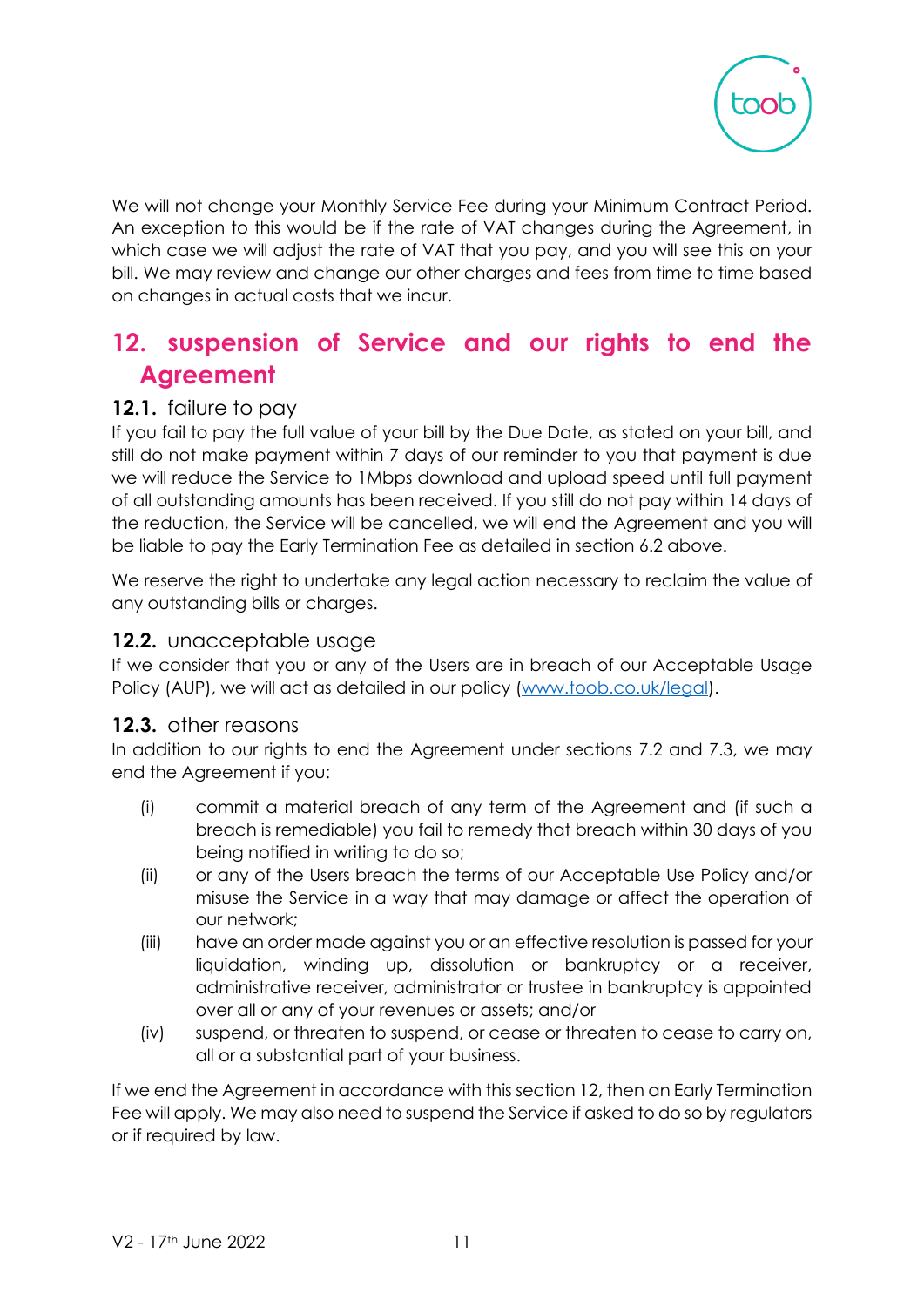

We will not change your Monthly Service Fee during your Minimum Contract Period. An exception to this would be if the rate of VAT changes during the Agreement, in which case we will adjust the rate of VAT that you pay, and you will see this on your bill. We may review and change our other charges and fees from time to time based on changes in actual costs that we incur.

# **12. suspension of Service and our rights to end the Agreement**

### **12.1.** failure to pay

If you fail to pay the full value of your bill by the Due Date, as stated on your bill, and still do not make payment within 7 days of our reminder to you that payment is due we will reduce the Service to 1Mbps download and upload speed until full payment of all outstanding amounts has been received. If you still do not pay within 14 days of the reduction, the Service will be cancelled, we will end the Agreement and you will be liable to pay the Early Termination Fee as detailed in section 6.2 above.

We reserve the right to undertake any legal action necessary to reclaim the value of any outstanding bills or charges.

#### **12.2.** unacceptable usage

If we consider that you or any of the Users are in breach of our Acceptable Usage Policy (AUP), we will act as detailed in our policy [\(www.toob.co.uk/legal\)](http://www.toob.co.uk/legal).

#### **12.3.** other reasons

In addition to our rights to end the Agreement under sections 7.2 and 7.3, we may end the Agreement if you:

- (i) commit a material breach of any term of the Agreement and (if such a breach is remediable) you fail to remedy that breach within 30 days of you being notified in writing to do so;
- (ii) or any of the Users breach the terms of our Acceptable Use Policy and/or misuse the Service in a way that may damage or affect the operation of our network;
- (iii) have an order made against you or an effective resolution is passed for your liquidation, winding up, dissolution or bankruptcy or a receiver, administrative receiver, administrator or trustee in bankruptcy is appointed over all or any of your revenues or assets; and/or
- (iv) suspend, or threaten to suspend, or cease or threaten to cease to carry on, all or a substantial part of your business.

If we end the Agreement in accordance with this section 12, then an Early Termination Fee will apply. We may also need to suspend the Service if asked to do so by regulators or if required by law.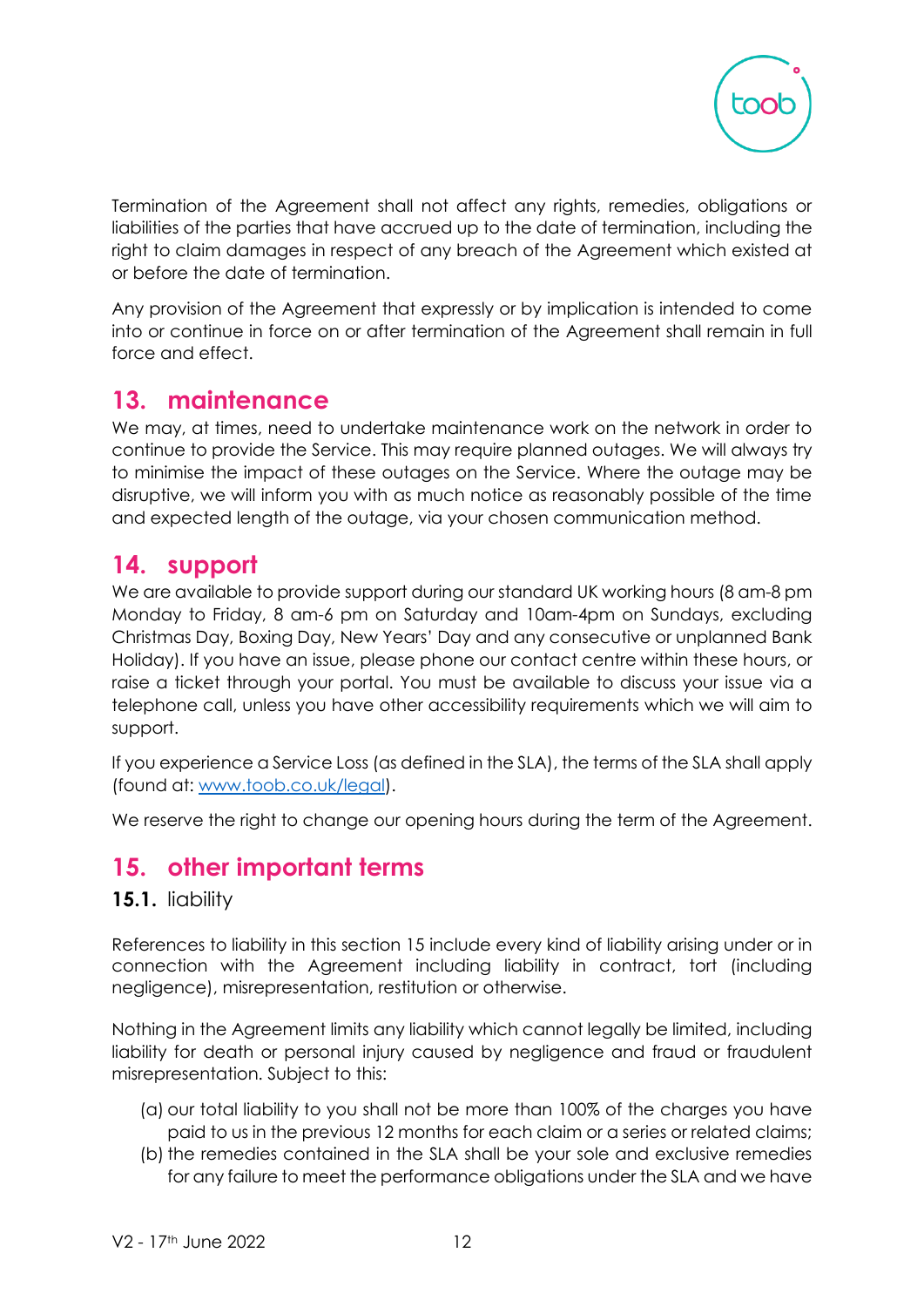

Termination of the Agreement shall not affect any rights, remedies, obligations or liabilities of the parties that have accrued up to the date of termination, including the right to claim damages in respect of any breach of the Agreement which existed at or before the date of termination.

Any provision of the Agreement that expressly or by implication is intended to come into or continue in force on or after termination of the Agreement shall remain in full force and effect.

# **13. maintenance**

We may, at times, need to undertake maintenance work on the network in order to continue to provide the Service. This may require planned outages. We will always try to minimise the impact of these outages on the Service. Where the outage may be disruptive, we will inform you with as much notice as reasonably possible of the time and expected length of the outage, via your chosen communication method.

# **14. support**

We are available to provide support during our standard UK working hours (8 am-8 pm Monday to Friday, 8 am-6 pm on Saturday and 10am-4pm on Sundays, excluding Christmas Day, Boxing Day, New Years' Day and any consecutive or unplanned Bank Holiday). If you have an issue, please phone our contact centre within these hours, or raise a ticket through your portal. You must be available to discuss your issue via a telephone call, unless you have other accessibility requirements which we will aim to support.

If you experience a Service Loss (as defined in the SLA), the terms of the SLA shall apply (found at: [www.toob.co.uk/legal\)](www.toob.co.uk/legal).

We reserve the right to change our opening hours during the term of the Agreement.

# **15. other important terms**

#### **15.1.** liability

References to liability in this section 15 include every kind of liability arising under or in connection with the Agreement including liability in contract, tort (including negligence), misrepresentation, restitution or otherwise.

Nothing in the Agreement limits any liability which cannot legally be limited, including liability for death or personal injury caused by negligence and fraud or fraudulent misrepresentation. Subject to this:

- (a) our total liability to you shall not be more than 100% of the charges you have paid to us in the previous 12 months for each claim or a series or related claims;
- (b) the remedies contained in the SLA shall be your sole and exclusive remedies for any failure to meet the performance obligations under the SLA and we have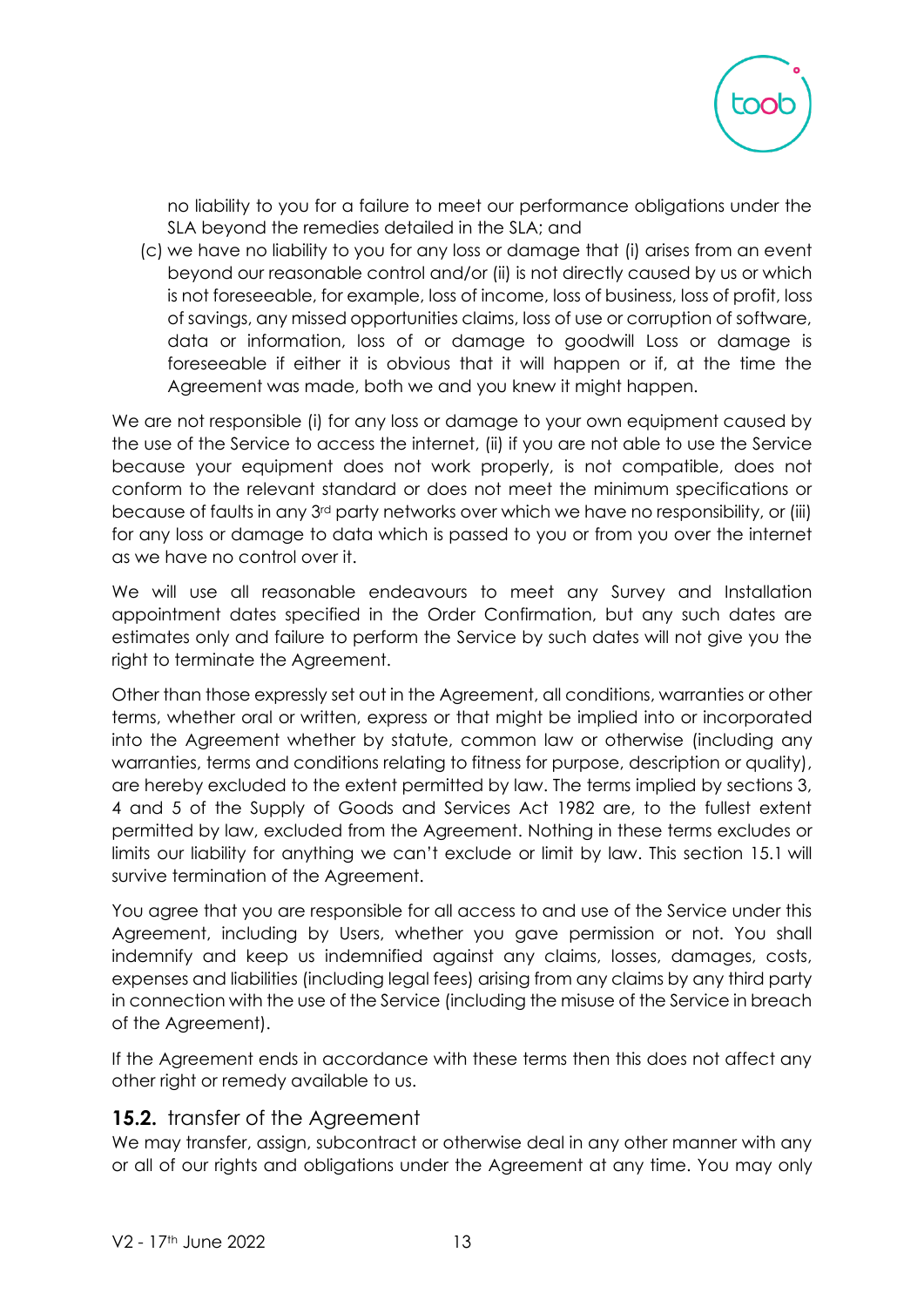

no liability to you for a failure to meet our performance obligations under the SLA beyond the remedies detailed in the SLA; and

(c) we have no liability to you for any loss or damage that (i) arises from an event beyond our reasonable control and/or (ii) is not directly caused by us or which is not foreseeable, for example, loss of income, loss of business, loss of profit, loss of savings, any missed opportunities claims, loss of use or corruption of software, data or information, loss of or damage to goodwill Loss or damage is foreseeable if either it is obvious that it will happen or if, at the time the Agreement was made, both we and you knew it might happen.

We are not responsible (i) for any loss or damage to your own equipment caused by the use of the Service to access the internet, (ii) if you are not able to use the Service because your equipment does not work properly, is not compatible, does not conform to the relevant standard or does not meet the minimum specifications or because of faults in any 3rd party networks over which we have no responsibility, or (iii) for any loss or damage to data which is passed to you or from you over the internet as we have no control over it.

We will use all reasonable endeavours to meet any Survey and Installation appointment dates specified in the Order Confirmation, but any such dates are estimates only and failure to perform the Service by such dates will not give you the right to terminate the Agreement.

Other than those expressly set out in the Agreement, all conditions, warranties or other terms, whether oral or written, express or that might be implied into or incorporated into the Agreement whether by statute, common law or otherwise (including any warranties, terms and conditions relating to fitness for purpose, description or quality), are hereby excluded to the extent permitted by law. The terms implied by sections 3, 4 and 5 of the Supply of Goods and Services Act 1982 are, to the fullest extent permitted by law, excluded from the Agreement. Nothing in these terms excludes or limits our liability for anything we can't exclude or limit by law. This section 15.1 will survive termination of the Agreement.

You agree that you are responsible for all access to and use of the Service under this Agreement, including by Users, whether you gave permission or not. You shall indemnify and keep us indemnified against any claims, losses, damages, costs, expenses and liabilities (including legal fees) arising from any claims by any third party in connection with the use of the Service (including the misuse of the Service in breach of the Agreement).

If the Agreement ends in accordance with these terms then this does not affect any other right or remedy available to us.

#### **15.2.** transfer of the Agreement

We may transfer, assign, subcontract or otherwise deal in any other manner with any or all of our rights and obligations under the Agreement at any time. You may only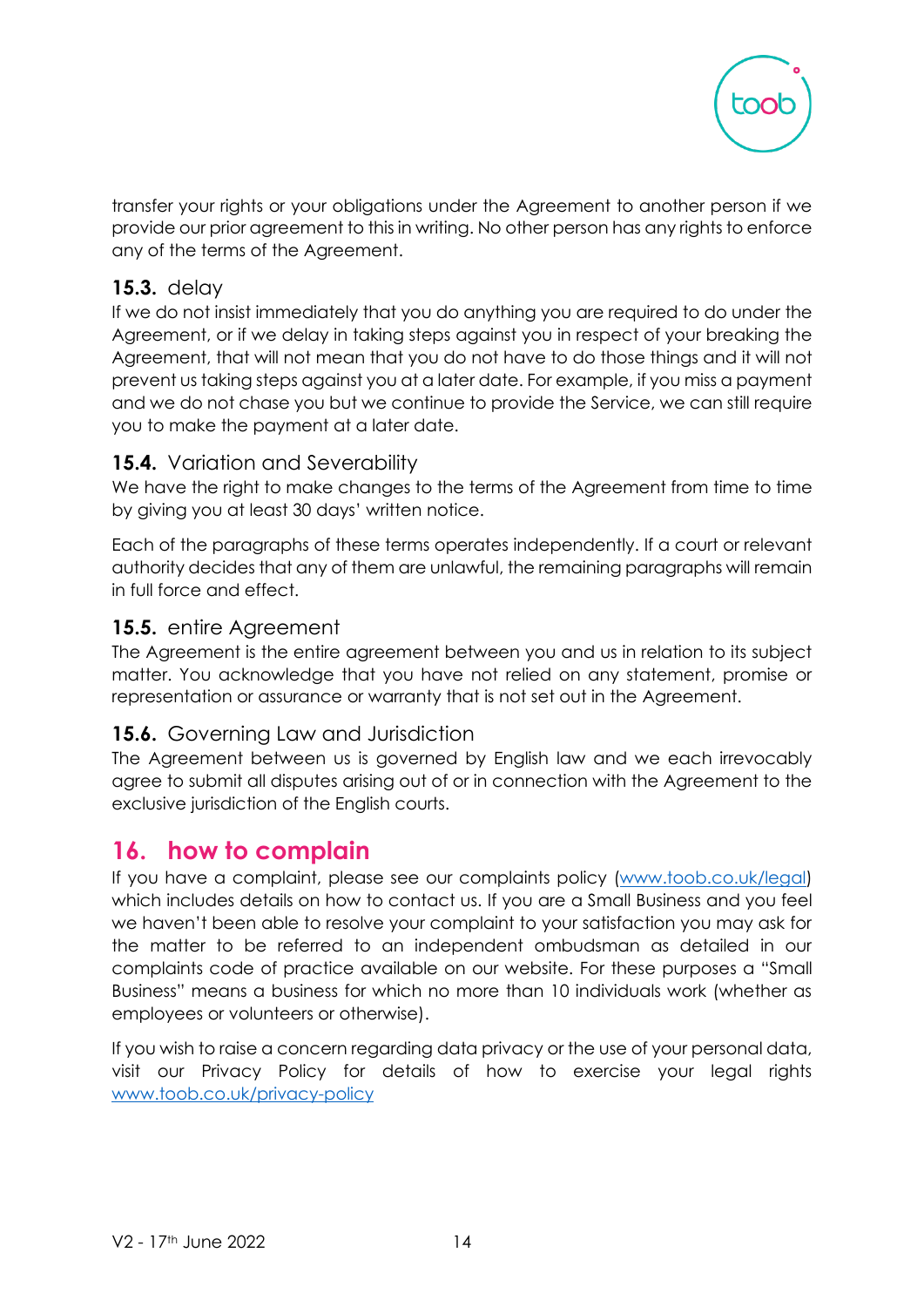

transfer your rights or your obligations under the Agreement to another person if we provide our prior agreement to this in writing. No other person has any rights to enforce any of the terms of the Agreement.

### **15.3.** delay

If we do not insist immediately that you do anything you are required to do under the Agreement, or if we delay in taking steps against you in respect of your breaking the Agreement, that will not mean that you do not have to do those things and it will not prevent us taking steps against you at a later date. For example, if you miss a payment and we do not chase you but we continue to provide the Service, we can still require you to make the payment at a later date.

### **15.4.** Variation and Severability

We have the right to make changes to the terms of the Agreement from time to time by giving you at least 30 days' written notice.

Each of the paragraphs of these terms operates independently. If a court or relevant authority decides that any of them are unlawful, the remaining paragraphs will remain in full force and effect.

#### **15.5.** entire Agreement

The Agreement is the entire agreement between you and us in relation to its subject matter. You acknowledge that you have not relied on any statement, promise or representation or assurance or warranty that is not set out in the Agreement.

### **15.6.** Governing Law and Jurisdiction

The Agreement between us is governed by English law and we each irrevocably agree to submit all disputes arising out of or in connection with the Agreement to the exclusive jurisdiction of the English courts.

# **16. how to complain**

If you have a complaint, please see our complaints policy [\(www.toob.co.uk/legal\)](http://www.toob.co.uk/legal) which includes details on how to contact us. If you are a Small Business and you feel we haven't been able to resolve your complaint to your satisfaction you may ask for the matter to be referred to an independent ombudsman as detailed in our complaints code of practice available on our website. For these purposes a "Small Business" means a business for which no more than 10 individuals work (whether as employees or volunteers or otherwise).

If you wish to raise a concern regarding data privacy or the use of your personal data, visit our Privacy Policy for details of how to exercise your legal rights [www.toob.co.uk/privacy-policy](http://www.toob.co.uk/privacy-policy)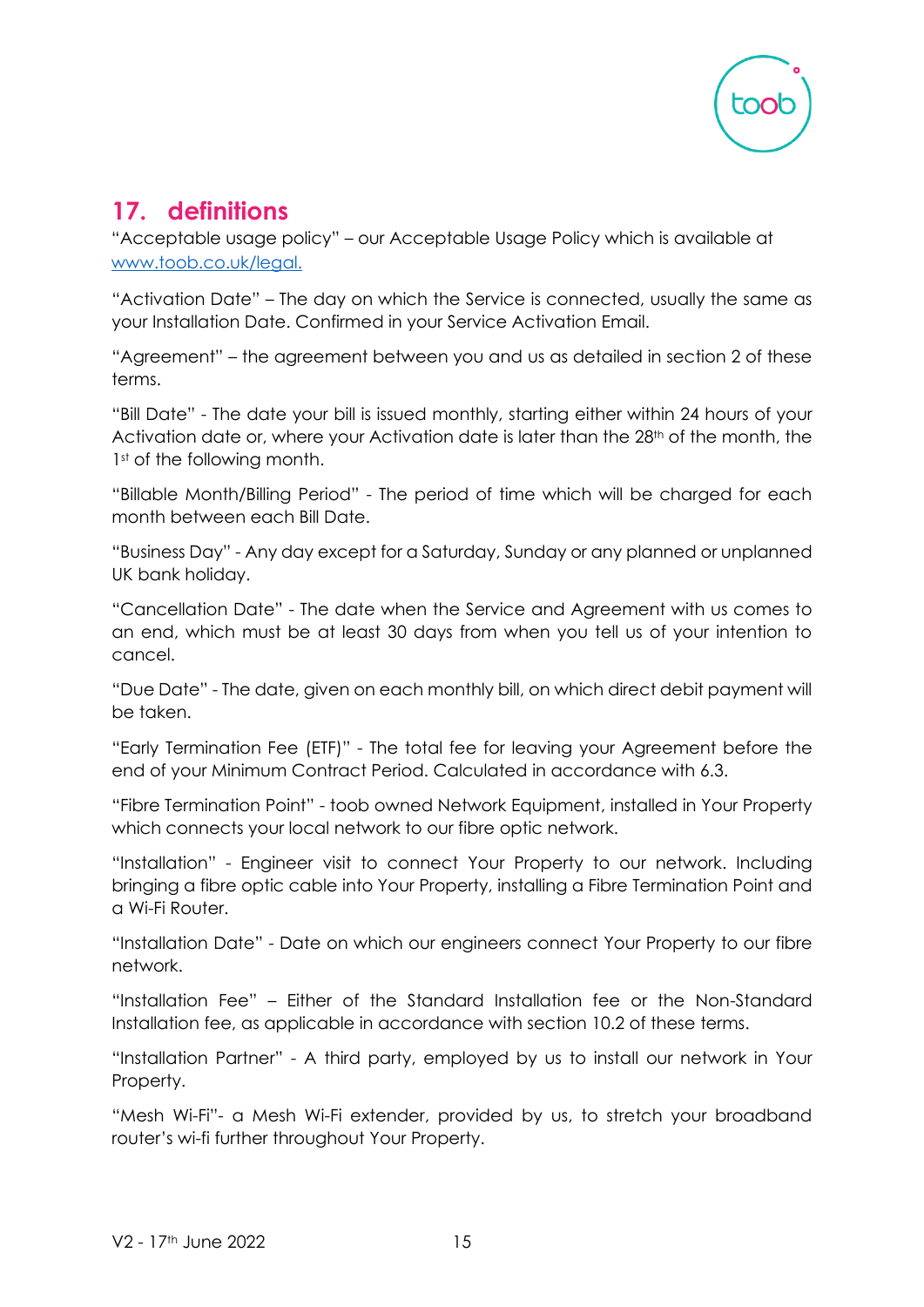

# **17. definitions**

"Acceptable usage policy" – our Acceptable Usage Policy which is available at [www.toob.co.uk/legal.](http://www.toob.co.uk/legal)

"Activation Date" – The day on which the Service is connected, usually the same as your Installation Date. Confirmed in your Service Activation Email.

"Agreement" – the agreement between you and us as detailed in section 2 of these terms.

"Bill Date" - The date your bill is issued monthly, starting either within 24 hours of your Activation date or, where your Activation date is later than the 28<sup>th</sup> of the month, the 1st of the following month.

"Billable Month/Billing Period" - The period of time which will be charged for each month between each Bill Date.

"Business Day" - Any day except for a Saturday, Sunday or any planned or unplanned UK bank holiday.

"Cancellation Date" - The date when the Service and Agreement with us comes to an end, which must be at least 30 days from when you tell us of your intention to cancel.

"Due Date" - The date, given on each monthly bill, on which direct debit payment will be taken.

"Early Termination Fee (ETF)" - The total fee for leaving your Agreement before the end of your Minimum Contract Period. Calculated in accordance with 6.3.

"Fibre Termination Point" - toob owned Network Equipment, installed in Your Property which connects your local network to our fibre optic network.

"Installation" - Engineer visit to connect Your Property to our network. Including bringing a fibre optic cable into Your Property, installing a Fibre Termination Point and a Wi-Fi Router.

"Installation Date" - Date on which our engineers connect Your Property to our fibre network.

"Installation Fee" – Either of the Standard Installation fee or the Non-Standard Installation fee, as applicable in accordance with section 10.2 of these terms.

"Installation Partner" - A third party, employed by us to install our network in Your Property.

"Mesh Wi-Fi"- a Mesh Wi-Fi extender, provided by us, to stretch your broadband router's wi-fi further throughout Your Property.